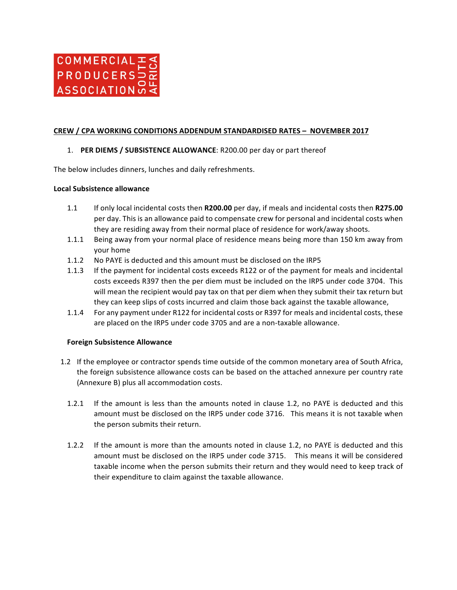

## **CREW / CPA WORKING CONDITIONS ADDENDUM STANDARDISED RATES - NOVEMBER 2017**

## 1. **PER DIEMS / SUBSISTENCE ALLOWANCE:** R200.00 per day or part thereof

The below includes dinners, lunches and daily refreshments.

### **Local Subsistence allowance**

- 1.1 If only local incidental costs then **R200.00** per day, if meals and incidental costs then **R275.00** per day. This is an allowance paid to compensate crew for personal and incidental costs when they are residing away from their normal place of residence for work/away shoots.
- 1.1.1 Being away from your normal place of residence means being more than 150 km away from your home
- 1.1.2 No PAYE is deducted and this amount must be disclosed on the IRP5
- 1.1.3 If the payment for incidental costs exceeds R122 or of the payment for meals and incidental costs exceeds R397 then the per diem must be included on the IRP5 under code 3704. This will mean the recipient would pay tax on that per diem when they submit their tax return but they can keep slips of costs incurred and claim those back against the taxable allowance,
- 1.1.4 For any payment under R122 for incidental costs or R397 for meals and incidental costs, these are placed on the IRP5 under code 3705 and are a non-taxable allowance.

### **Foreign Subsistence Allowance**

- 1.2 If the employee or contractor spends time outside of the common monetary area of South Africa, the foreign subsistence allowance costs can be based on the attached annexure per country rate (Annexure B) plus all accommodation costs.
	- 1.2.1 If the amount is less than the amounts noted in clause 1.2, no PAYE is deducted and this amount must be disclosed on the IRP5 under code 3716. This means it is not taxable when the person submits their return.
	- 1.2.2 If the amount is more than the amounts noted in clause 1.2, no PAYE is deducted and this amount must be disclosed on the IRP5 under code 3715. This means it will be considered taxable income when the person submits their return and they would need to keep track of their expenditure to claim against the taxable allowance.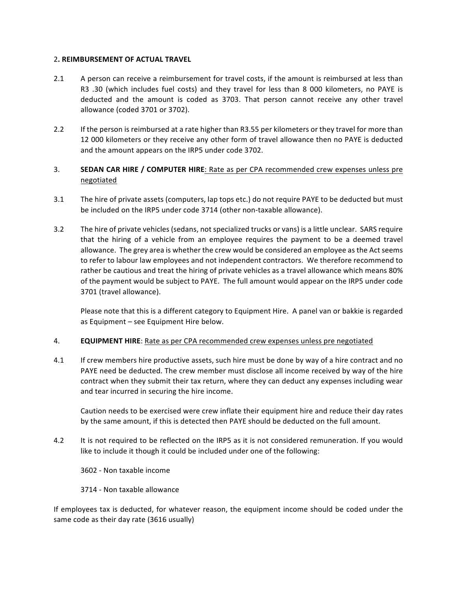## 2**. REIMBURSEMENT OF ACTUAL TRAVEL**

- 2.1 A person can receive a reimbursement for travel costs, if the amount is reimbursed at less than R3 .30 (which includes fuel costs) and they travel for less than 8 000 kilometers, no PAYE is deducted and the amount is coded as 3703. That person cannot receive any other travel allowance (coded 3701 or 3702).
- 2.2 If the person is reimbursed at a rate higher than R3.55 per kilometers or they travel for more than 12 000 kilometers or they receive any other form of travel allowance then no PAYE is deducted and the amount appears on the IRP5 under code 3702.

# 3. **SEDAN CAR HIRE / COMPUTER HIRE**: Rate as per CPA recommended crew expenses unless pre negotiated

- 3.1 The hire of private assets (computers, lap tops etc.) do not require PAYE to be deducted but must be included on the IRP5 under code 3714 (other non-taxable allowance).
- 3.2 The hire of private vehicles (sedans, not specialized trucks or vans) is a little unclear. SARS require that the hiring of a vehicle from an employee requires the payment to be a deemed travel allowance. The grey area is whether the crew would be considered an employee as the Act seems to refer to labour law employees and not independent contractors. We therefore recommend to rather be cautious and treat the hiring of private vehicles as a travel allowance which means 80% of the payment would be subject to PAYE. The full amount would appear on the IRP5 under code 3701 (travel allowance).

Please note that this is a different category to Equipment Hire. A panel van or bakkie is regarded as Equipment  $-$  see Equipment Hire below.

## 4. **EQUIPMENT HIRE**: Rate as per CPA recommended crew expenses unless pre negotiated

4.1 If crew members hire productive assets, such hire must be done by way of a hire contract and no PAYE need be deducted. The crew member must disclose all income received by way of the hire contract when they submit their tax return, where they can deduct any expenses including wear and tear incurred in securing the hire income.

Caution needs to be exercised were crew inflate their equipment hire and reduce their day rates by the same amount, if this is detected then PAYE should be deducted on the full amount.

4.2 It is not required to be reflected on the IRP5 as it is not considered remuneration. If you would like to include it though it could be included under one of the following:

3602 - Non taxable income

3714 - Non taxable allowance

If employees tax is deducted, for whatever reason, the equipment income should be coded under the same code as their day rate (3616 usually)